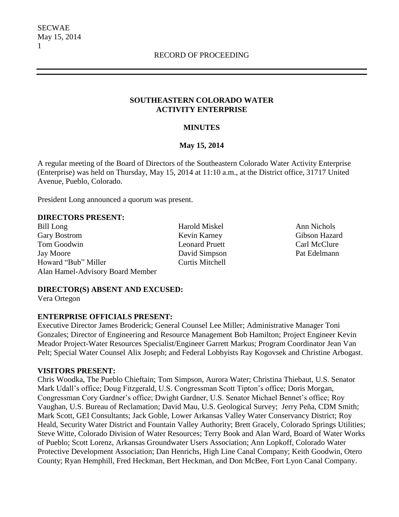SECWAE May 15, 2014 1

#### **SOUTHEASTERN COLORADO WATER ACTIVITY ENTERPRISE**

### **MINUTES**

### **May 15, 2014**

A regular meeting of the Board of Directors of the Southeastern Colorado Water Activity Enterprise (Enterprise) was held on Thursday, May 15, 2014 at 11:10 a.m., at the District office, 31717 United Avenue, Pueblo, Colorado.

President Long announced a quorum was present.

#### **DIRECTORS PRESENT:**

Bill Long Harold Miskel Ann Nichols Gary Bostrom **Kevin Karney** Gibson Hazard Tom Goodwin **Leonard Pruett** Carl McClure Jay Moore David Simpson Pat Edelmann Howard "Bub" Miller Curtis Mitchell Alan Hamel-Advisory Board Member

#### **DIRECTOR(S) ABSENT AND EXCUSED:**

Vera Ortegon

#### **ENTERPRISE OFFICIALS PRESENT:**

Executive Director James Broderick; General Counsel Lee Miller; Administrative Manager Toni Gonzales; Director of Engineering and Resource Management Bob Hamilton; Project Engineer Kevin Meador Project-Water Resources Specialist/Engineer Garrett Markus; Program Coordinator Jean Van Pelt; Special Water Counsel Alix Joseph; and Federal Lobbyists Ray Kogovsek and Christine Arbogast.

#### **VISITORS PRESENT:**

Chris Woodka, The Pueblo Chieftain; Tom Simpson, Aurora Water; Christina Thiebaut, U.S. Senator Mark Udall's office; Doug Fitzgerald, U.S. Congressman Scott Tipton's office; Doris Morgan, Congressman Cory Gardner's office; Dwight Gardner, U.S. Senator Michael Bennet's office; Roy Vaughan, U.S. Bureau of Reclamation; David Mau, U.S. Geological Survey; Jerry Peña, CDM Smith; Mark Scott, GEI Consultants; Jack Goble, Lower Arkansas Valley Water Conservancy District; Roy Heald, Security Water District and Fountain Valley Authority; Brett Gracely, Colorado Springs Utilities; Steve Witte, Colorado Division of Water Resources; Terry Book and Alan Ward, Board of Water Works of Pueblo; Scott Lorenz, Arkansas Groundwater Users Association; Ann Lopkoff, Colorado Water Protective Development Association; Dan Henrichs, High Line Canal Company; Keith Goodwin, Otero County; Ryan Hemphill, Fred Heckman, Bert Heckman, and Don McBee, Fort Lyon Canal Company.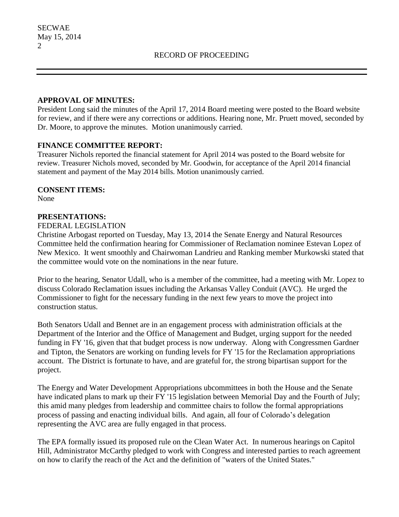#### **APPROVAL OF MINUTES:**

President Long said the minutes of the April 17, 2014 Board meeting were posted to the Board website for review, and if there were any corrections or additions. Hearing none, Mr. Pruett moved, seconded by Dr. Moore, to approve the minutes. Motion unanimously carried.

### **FINANCE COMMITTEE REPORT:**

Treasurer Nichols reported the financial statement for April 2014 was posted to the Board website for review. Treasurer Nichols moved, seconded by Mr. Goodwin, for acceptance of the April 2014 financial statement and payment of the May 2014 bills. Motion unanimously carried.

#### **CONSENT ITEMS:**

None

### **PRESENTATIONS:**

#### FEDERAL LEGISLATION

Christine Arbogast reported on Tuesday, May 13, 2014 the Senate Energy and Natural Resources Committee held the confirmation hearing for Commissioner of Reclamation nominee Estevan Lopez of New Mexico. It went smoothly and Chairwoman Landrieu and Ranking member Murkowski stated that the committee would vote on the nominations in the near future.

Prior to the hearing, Senator Udall, who is a member of the committee, had a meeting with Mr. Lopez to discuss Colorado Reclamation issues including the Arkansas Valley Conduit (AVC). He urged the Commissioner to fight for the necessary funding in the next few years to move the project into construction status.

Both Senators Udall and Bennet are in an engagement process with administration officials at the Department of the Interior and the Office of Management and Budget, urging support for the needed funding in FY '16, given that that budget process is now underway. Along with Congressmen Gardner and Tipton, the Senators are working on funding levels for FY '15 for the Reclamation appropriations account. The District is fortunate to have, and are grateful for, the strong bipartisan support for the project.

The Energy and Water Development Appropriations ubcommittees in both the House and the Senate have indicated plans to mark up their FY '15 legislation between Memorial Day and the Fourth of July; this amid many pledges from leadership and committee chairs to follow the formal appropriations process of passing and enacting individual bills. And again, all four of Colorado's delegation representing the AVC area are fully engaged in that process.

The EPA formally issued its proposed rule on the Clean Water Act. In numerous hearings on Capitol Hill, Administrator McCarthy pledged to work with Congress and interested parties to reach agreement on how to clarify the reach of the Act and the definition of "waters of the United States."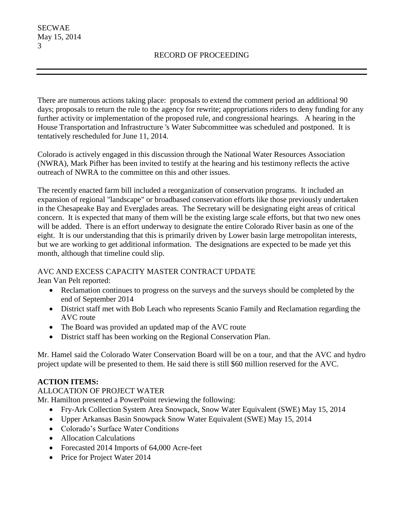There are numerous actions taking place: proposals to extend the comment period an additional 90 days; proposals to return the rule to the agency for rewrite; appropriations riders to deny funding for any further activity or implementation of the proposed rule, and congressional hearings. A hearing in the House Transportation and Infrastructure 's Water Subcommittee was scheduled and postponed. It is tentatively rescheduled for June 11, 2014.

Colorado is actively engaged in this discussion through the National Water Resources Association (NWRA), Mark Pifher has been invited to testify at the hearing and his testimony reflects the active outreach of NWRA to the committee on this and other issues.

The recently enacted farm bill included a reorganization of conservation programs. It included an expansion of regional "landscape" or broadbased conservation efforts like those previously undertaken in the Chesapeake Bay and Everglades areas. The Secretary will be designating eight areas of critical concern. It is expected that many of them will be the existing large scale efforts, but that two new ones will be added. There is an effort underway to designate the entire Colorado River basin as one of the eight. It is our understanding that this is primarily driven by Lower basin large metropolitan interests, but we are working to get additional information. The designations are expected to be made yet this month, although that timeline could slip.

# AVC AND EXCESS CAPACITY MASTER CONTRACT UPDATE

Jean Van Pelt reported:

- Reclamation continues to progress on the surveys and the surveys should be completed by the end of September 2014
- District staff met with Bob Leach who represents Scanio Family and Reclamation regarding the AVC route
- The Board was provided an updated map of the AVC route
- District staff has been working on the Regional Conservation Plan.

Mr. Hamel said the Colorado Water Conservation Board will be on a tour, and that the AVC and hydro project update will be presented to them. He said there is still \$60 million reserved for the AVC.

# **ACTION ITEMS:**

# ALLOCATION OF PROJECT WATER

Mr. Hamilton presented a PowerPoint reviewing the following:

- Fry-Ark Collection System Area Snowpack, Snow Water Equivalent (SWE) May 15, 2014
- Upper Arkansas Basin Snowpack Snow Water Equivalent (SWE) May 15, 2014
- Colorado's Surface Water Conditions
- Allocation Calculations
- Forecasted 2014 Imports of 64,000 Acre-feet
- Price for Project Water 2014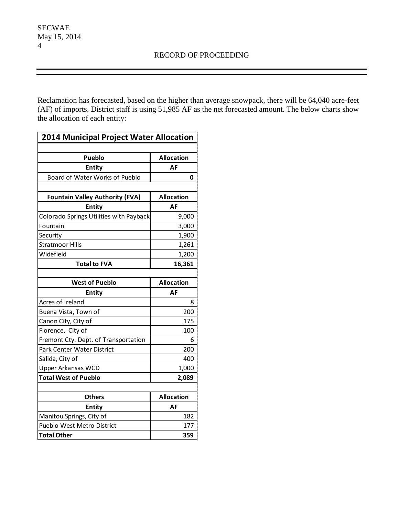Reclamation has forecasted, based on the higher than average snowpack, there will be 64,040 acre-feet (AF) of imports. District staff is using 51,985 AF as the net forecasted amount. The below charts show the allocation of each entity:

| 2014 Municipal Project Water Allocation |                   |  |
|-----------------------------------------|-------------------|--|
|                                         |                   |  |
| <b>Pueblo</b>                           | <b>Allocation</b> |  |
| <b>Entity</b>                           | AF                |  |
| Board of Water Works of Pueblo          | 0                 |  |
|                                         |                   |  |
| <b>Fountain Valley Authority (FVA)</b>  | <b>Allocation</b> |  |
| <b>Entity</b>                           | AF                |  |
| Colorado Springs Utilities with Payback | 9,000             |  |
| Fountain                                | 3,000             |  |
| Security                                | 1,900             |  |
| <b>Stratmoor Hills</b>                  | 1,261             |  |
| Widefield                               | 1,200             |  |
| <b>Total to FVA</b>                     | 16,361            |  |
|                                         |                   |  |
| <b>West of Pueblo</b>                   | <b>Allocation</b> |  |
| <b>Entity</b>                           | AF                |  |
| Acres of Ireland                        | 8                 |  |
| Buena Vista, Town of                    | 200               |  |
| Canon City, City of                     | 175               |  |
| Florence, City of                       | 100               |  |
| Fremont Cty. Dept. of Transportation    | 6                 |  |
| Park Center Water District              | 200               |  |
| Salida, City of                         | 400               |  |
| <b>Upper Arkansas WCD</b>               | 1,000             |  |
| <b>Total West of Pueblo</b>             | 2,089             |  |
|                                         |                   |  |
| <b>Others</b>                           | <b>Allocation</b> |  |
| <b>Entity</b>                           | AF                |  |
| Manitou Springs, City of                | 182               |  |
| Pueblo West Metro District              | 177               |  |
| <b>Total Other</b>                      | 359               |  |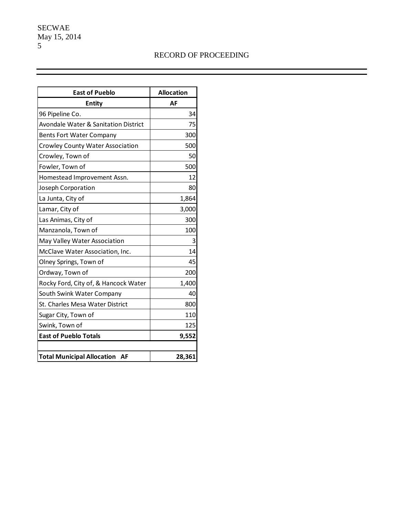SECWAE May 15, 2014 5

# RECORD OF PROCEEDING

| <b>East of Pueblo</b>                   | <b>Allocation</b> |
|-----------------------------------------|-------------------|
| <b>Entity</b>                           | AF                |
| 96 Pipeline Co.                         | 34                |
| Avondale Water & Sanitation District    | 75                |
| <b>Bents Fort Water Company</b>         | 300               |
| <b>Crowley County Water Association</b> | 500               |
| Crowley, Town of                        | 50                |
| Fowler, Town of                         | 500               |
| Homestead Improvement Assn.             | 12                |
| Joseph Corporation                      | 80                |
| La Junta, City of                       | 1,864             |
| Lamar, City of                          | 3,000             |
| Las Animas, City of                     | 300               |
| Manzanola, Town of                      | 100               |
| May Valley Water Association            | 3                 |
| McClave Water Association, Inc.         | 14                |
| Olney Springs, Town of                  | 45                |
| Ordway, Town of                         | 200               |
| Rocky Ford, City of, & Hancock Water    | 1,400             |
| South Swink Water Company               | 40                |
| St. Charles Mesa Water District         | 800               |
| Sugar City, Town of                     | 110               |
| Swink, Town of                          | 125               |
| <b>East of Pueblo Totals</b>            | 9,552             |
|                                         |                   |
| <b>Total Municipal Allocation</b><br>AF | 28,361            |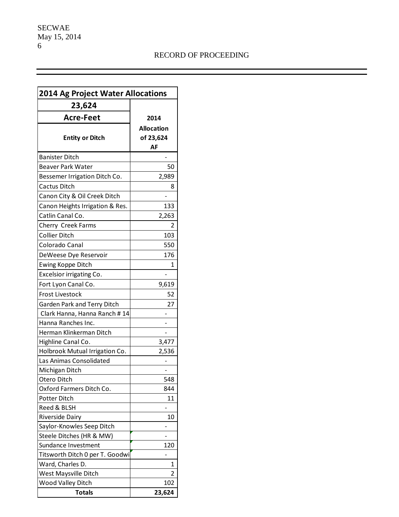| <b>2014 Ag Project Water Allocations</b> |                   |
|------------------------------------------|-------------------|
| 23,624                                   |                   |
| <b>Acre-Feet</b>                         | 2014              |
|                                          | <b>Allocation</b> |
| <b>Entity or Ditch</b>                   |                   |
|                                          | of 23,624<br>AF   |
| <b>Banister Ditch</b>                    |                   |
| <b>Beaver Park Water</b>                 | 50                |
| Bessemer Irrigation Ditch Co.            | 2,989             |
| Cactus Ditch                             | 8                 |
|                                          |                   |
| Canon City & Oil Creek Ditch             |                   |
| Canon Heights Irrigation & Res.          | 133               |
| Catlin Canal Co.                         | 2,263             |
| Cherry Creek Farms                       | 2                 |
| Collier Ditch                            | 103               |
| Colorado Canal                           | 550               |
| DeWeese Dye Reservoir                    | 176               |
| Ewing Koppe Ditch                        | 1                 |
| Excelsior irrigating Co.                 |                   |
| Fort Lyon Canal Co.                      | 9,619             |
| <b>Frost Livestock</b>                   | 52                |
| Garden Park and Terry Ditch              | 27                |
| Clark Hanna, Hanna Ranch #14             |                   |
| Hanna Ranches Inc.                       |                   |
| Herman Klinkerman Ditch                  |                   |
| Highline Canal Co.                       | 3,477             |
| Holbrook Mutual Irrigation Co.           | 2,536             |
| Las Animas Consolidated                  |                   |
| Michigan Ditch                           |                   |
| Otero Ditch                              | 548               |
| Oxford Farmers Ditch Co.                 | 844               |
| Potter Ditch                             | 11                |
| Reed & BLSH                              |                   |
| <b>Riverside Dairy</b>                   | 10                |
| Saylor-Knowles Seep Ditch                |                   |
| Steele Ditches (HR & MW)                 |                   |
| Sundance Investment                      | 120               |
| Titsworth Ditch 0 per T. Goodwi          |                   |
| Ward, Charles D.                         | 1                 |
| West Maysville Ditch                     | 2                 |
| Wood Valley Ditch                        | 102               |
| Totals                                   | 23,624            |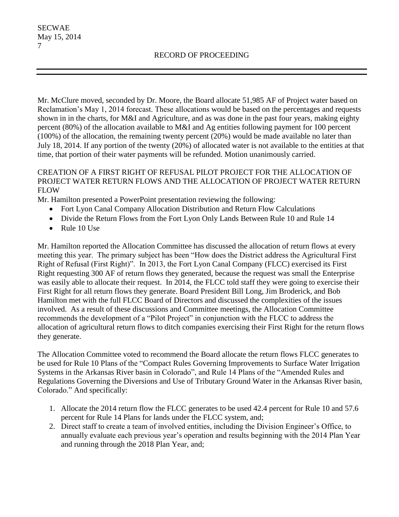Mr. McClure moved, seconded by Dr. Moore, the Board allocate 51,985 AF of Project water based on Reclamation's May 1, 2014 forecast. These allocations would be based on the percentages and requests shown in in the charts, for M&I and Agriculture, and as was done in the past four years, making eighty percent (80%) of the allocation available to M&I and Ag entities following payment for 100 percent (100%) of the allocation, the remaining twenty percent (20%) would be made available no later than July 18, 2014. If any portion of the twenty (20%) of allocated water is not available to the entities at that time, that portion of their water payments will be refunded. Motion unanimously carried.

# CREATION OF A FIRST RIGHT OF REFUSAL PILOT PROJECT FOR THE ALLOCATION OF PROJECT WATER RETURN FLOWS AND THE ALLOCATION OF PROJECT WATER RETURN FLOW

Mr. Hamilton presented a PowerPoint presentation reviewing the following:

- Fort Lyon Canal Company Allocation Distribution and Return Flow Calculations
- Divide the Return Flows from the Fort Lyon Only Lands Between Rule 10 and Rule 14
- Rule 10 Use

Mr. Hamilton reported the Allocation Committee has discussed the allocation of return flows at every meeting this year. The primary subject has been "How does the District address the Agricultural First Right of Refusal (First Right)". In 2013, the Fort Lyon Canal Company (FLCC) exercised its First Right requesting 300 AF of return flows they generated, because the request was small the Enterprise was easily able to allocate their request. In 2014, the FLCC told staff they were going to exercise their First Right for all return flows they generate. Board President Bill Long, Jim Broderick, and Bob Hamilton met with the full FLCC Board of Directors and discussed the complexities of the issues involved. As a result of these discussions and Committee meetings, the Allocation Committee recommends the development of a "Pilot Project" in conjunction with the FLCC to address the allocation of agricultural return flows to ditch companies exercising their First Right for the return flows they generate.

The Allocation Committee voted to recommend the Board allocate the return flows FLCC generates to be used for Rule 10 Plans of the "Compact Rules Governing Improvements to Surface Water Irrigation Systems in the Arkansas River basin in Colorado", and Rule 14 Plans of the "Amended Rules and Regulations Governing the Diversions and Use of Tributary Ground Water in the Arkansas River basin, Colorado." And specifically:

- 1. Allocate the 2014 return flow the FLCC generates to be used 42.4 percent for Rule 10 and 57.6 percent for Rule 14 Plans for lands under the FLCC system, and;
- 2. Direct staff to create a team of involved entities, including the Division Engineer's Office, to annually evaluate each previous year's operation and results beginning with the 2014 Plan Year and running through the 2018 Plan Year, and;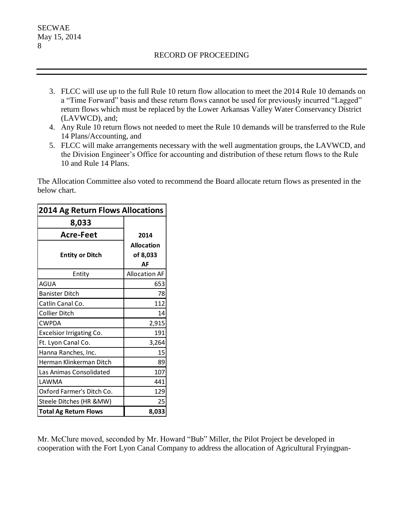- 3. FLCC will use up to the full Rule 10 return flow allocation to meet the 2014 Rule 10 demands on a "Time Forward" basis and these return flows cannot be used for previously incurred "Lagged" return flows which must be replaced by the Lower Arkansas Valley Water Conservancy District (LAVWCD), and;
- 4. Any Rule 10 return flows not needed to meet the Rule 10 demands will be transferred to the Rule 14 Plans/Accounting, and
- 5. FLCC will make arrangements necessary with the well augmentation groups, the LAVWCD, and the Division Engineer's Office for accounting and distribution of these return flows to the Rule 10 and Rule 14 Plans.

The Allocation Committee also voted to recommend the Board allocate return flows as presented in the below chart.

| <b>2014 Ag Return Flows Allocations</b> |                                     |
|-----------------------------------------|-------------------------------------|
| 8,033                                   |                                     |
| <b>Acre-Feet</b>                        | 2014                                |
| <b>Entity or Ditch</b>                  | <b>Allocation</b><br>of 8,033<br>ΑF |
| Entity                                  | <b>Allocation AF</b>                |
| AGUA                                    | 653                                 |
| <b>Banister Ditch</b>                   | 78                                  |
| Catlin Canal Co.                        | 112                                 |
| <b>Collier Ditch</b>                    | 14                                  |
| <b>CWPDA</b>                            | 2,915                               |
| <b>Excelsior Irrigating Co.</b>         | 191                                 |
| Ft. Lyon Canal Co.                      | 3,264                               |
| Hanna Ranches, Inc.                     | 15                                  |
| Herman Klinkerman Ditch                 | 89                                  |
| Las Animas Consolidated                 | 107                                 |
| LAWMA                                   | 441                                 |
| Oxford Farmer's Ditch Co.               | 129                                 |
| Steele Ditches (HR &MW)                 | 25                                  |
| <b>Total Ag Return Flows</b>            | 8,033                               |

Mr. McClure moved, seconded by Mr. Howard "Bub" Miller, the Pilot Project be developed in cooperation with the Fort Lyon Canal Company to address the allocation of Agricultural Fryingpan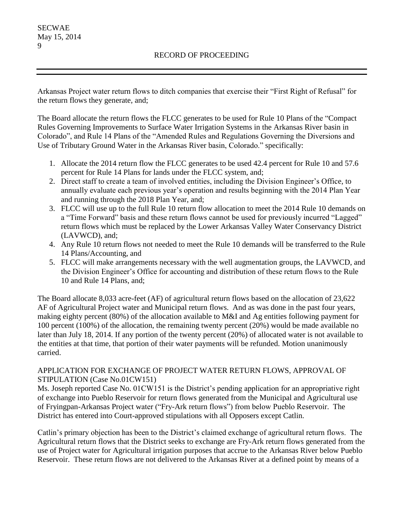Arkansas Project water return flows to ditch companies that exercise their "First Right of Refusal" for the return flows they generate, and;

The Board allocate the return flows the FLCC generates to be used for Rule 10 Plans of the "Compact Rules Governing Improvements to Surface Water Irrigation Systems in the Arkansas River basin in Colorado", and Rule 14 Plans of the "Amended Rules and Regulations Governing the Diversions and Use of Tributary Ground Water in the Arkansas River basin, Colorado." specifically:

- 1. Allocate the 2014 return flow the FLCC generates to be used 42.4 percent for Rule 10 and 57.6 percent for Rule 14 Plans for lands under the FLCC system, and;
- 2. Direct staff to create a team of involved entities, including the Division Engineer's Office, to annually evaluate each previous year's operation and results beginning with the 2014 Plan Year and running through the 2018 Plan Year, and;
- 3. FLCC will use up to the full Rule 10 return flow allocation to meet the 2014 Rule 10 demands on a "Time Forward" basis and these return flows cannot be used for previously incurred "Lagged" return flows which must be replaced by the Lower Arkansas Valley Water Conservancy District (LAVWCD), and;
- 4. Any Rule 10 return flows not needed to meet the Rule 10 demands will be transferred to the Rule 14 Plans/Accounting, and
- 5. FLCC will make arrangements necessary with the well augmentation groups, the LAVWCD, and the Division Engineer's Office for accounting and distribution of these return flows to the Rule 10 and Rule 14 Plans, and;

The Board allocate 8,033 acre-feet (AF) of agricultural return flows based on the allocation of 23,622 AF of Agricultural Project water and Municipal return flows. And as was done in the past four years, making eighty percent (80%) of the allocation available to M&I and Ag entities following payment for 100 percent (100%) of the allocation, the remaining twenty percent (20%) would be made available no later than July 18, 2014. If any portion of the twenty percent (20%) of allocated water is not available to the entities at that time, that portion of their water payments will be refunded. Motion unanimously carried.

# APPLICATION FOR EXCHANGE OF PROJECT WATER RETURN FLOWS, APPROVAL OF STIPULATION (Case No.01CW151)

Ms. Joseph reported Case No. 01CW151 is the District's pending application for an appropriative right of exchange into Pueblo Reservoir for return flows generated from the Municipal and Agricultural use of Fryingpan-Arkansas Project water ("Fry-Ark return flows") from below Pueblo Reservoir. The District has entered into Court-approved stipulations with all Opposers except Catlin.

Catlin's primary objection has been to the District's claimed exchange of agricultural return flows. The Agricultural return flows that the District seeks to exchange are Fry-Ark return flows generated from the use of Project water for Agricultural irrigation purposes that accrue to the Arkansas River below Pueblo Reservoir. These return flows are not delivered to the Arkansas River at a defined point by means of a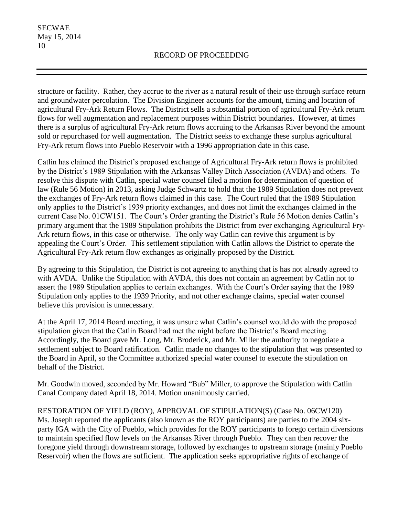structure or facility. Rather, they accrue to the river as a natural result of their use through surface return and groundwater percolation. The Division Engineer accounts for the amount, timing and location of agricultural Fry-Ark Return Flows. The District sells a substantial portion of agricultural Fry-Ark return flows for well augmentation and replacement purposes within District boundaries. However, at times there is a surplus of agricultural Fry-Ark return flows accruing to the Arkansas River beyond the amount sold or repurchased for well augmentation. The District seeks to exchange these surplus agricultural Fry-Ark return flows into Pueblo Reservoir with a 1996 appropriation date in this case.

Catlin has claimed the District's proposed exchange of Agricultural Fry-Ark return flows is prohibited by the District's 1989 Stipulation with the Arkansas Valley Ditch Association (AVDA) and others. To resolve this dispute with Catlin, special water counsel filed a motion for determination of question of law (Rule 56 Motion) in 2013, asking Judge Schwartz to hold that the 1989 Stipulation does not prevent the exchanges of Fry-Ark return flows claimed in this case. The Court ruled that the 1989 Stipulation only applies to the District's 1939 priority exchanges, and does not limit the exchanges claimed in the current Case No. 01CW151. The Court's Order granting the District's Rule 56 Motion denies Catlin's primary argument that the 1989 Stipulation prohibits the District from ever exchanging Agricultural Fry-Ark return flows, in this case or otherwise. The only way Catlin can revive this argument is by appealing the Court's Order. This settlement stipulation with Catlin allows the District to operate the Agricultural Fry-Ark return flow exchanges as originally proposed by the District.

By agreeing to this Stipulation, the District is not agreeing to anything that is has not already agreed to with AVDA. Unlike the Stipulation with AVDA, this does not contain an agreement by Catlin not to assert the 1989 Stipulation applies to certain exchanges. With the Court's Order saying that the 1989 Stipulation only applies to the 1939 Priority, and not other exchange claims, special water counsel believe this provision is unnecessary.

At the April 17, 2014 Board meeting, it was unsure what Catlin's counsel would do with the proposed stipulation given that the Catlin Board had met the night before the District's Board meeting. Accordingly, the Board gave Mr. Long, Mr. Broderick, and Mr. Miller the authority to negotiate a settlement subject to Board ratification. Catlin made no changes to the stipulation that was presented to the Board in April, so the Committee authorized special water counsel to execute the stipulation on behalf of the District.

Mr. Goodwin moved, seconded by Mr. Howard "Bub" Miller, to approve the Stipulation with Catlin Canal Company dated April 18, 2014. Motion unanimously carried.

RESTORATION OF YIELD (ROY), APPROVAL OF STIPULATION(S) (Case No. 06CW120) Ms. Joseph reported the applicants (also known as the ROY participants) are parties to the 2004 sixparty IGA with the City of Pueblo, which provides for the ROY participants to forego certain diversions to maintain specified flow levels on the Arkansas River through Pueblo. They can then recover the foregone yield through downstream storage, followed by exchanges to upstream storage (mainly Pueblo Reservoir) when the flows are sufficient. The application seeks appropriative rights of exchange of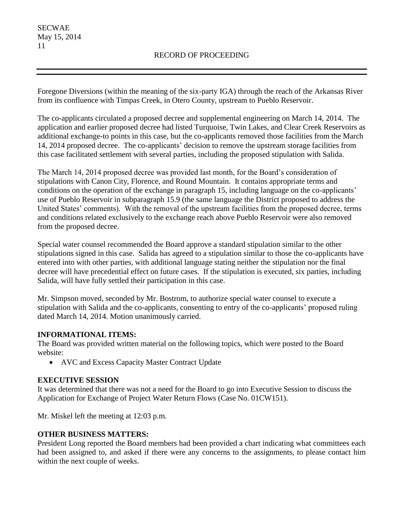Foregone Diversions (within the meaning of the six-party IGA) through the reach of the Arkansas River from its confluence with Timpas Creek, in Otero County, upstream to Pueblo Reservoir.

The co-applicants circulated a proposed decree and supplemental engineering on March 14, 2014. The application and earlier proposed decree had listed Turquoise, Twin Lakes, and Clear Creek Reservoirs as additional exchange-to points in this case, but the co-applicants removed those facilities from the March 14, 2014 proposed decree. The co-applicants' decision to remove the upstream storage facilities from this case facilitated settlement with several parties, including the proposed stipulation with Salida.

The March 14, 2014 proposed decree was provided last month, for the Board's consideration of stipulations with Canon City, Florence, and Round Mountain. It contains appropriate terms and conditions on the operation of the exchange in paragraph 15, including language on the co-applicants' use of Pueblo Reservoir in subparagraph 15.9 (the same language the District proposed to address the United States' comments). With the removal of the upstream facilities from the proposed decree, terms and conditions related exclusively to the exchange reach above Pueblo Reservoir were also removed from the proposed decree.

Special water counsel recommended the Board approve a standard stipulation similar to the other stipulations signed in this case. Salida has agreed to a stipulation similar to those the co-applicants have entered into with other parties, with additional language stating neither the stipulation nor the final decree will have precedential effect on future cases. If the stipulation is executed, six parties, including Salida, will have fully settled their participation in this case.

Mr. Simpson moved, seconded by Mr. Bostrom, to authorize special water counsel to execute a stipulation with Salida and the co-applicants, consenting to entry of the co-applicants' proposed ruling dated March 14, 2014. Motion unanimously carried.

# **INFORMATIONAL ITEMS:**

The Board was provided written material on the following topics, which were posted to the Board website:

AVC and Excess Capacity Master Contract Update

# **EXECUTIVE SESSION**

It was determined that there was not a need for the Board to go into Executive Session to discuss the Application for Exchange of Project Water Return Flows (Case No. 01CW151).

Mr. Miskel left the meeting at 12:03 p.m.

# **OTHER BUSINESS MATTERS:**

President Long reported the Board members had been provided a chart indicating what committees each had been assigned to, and asked if there were any concerns to the assignments, to please contact him within the next couple of weeks.